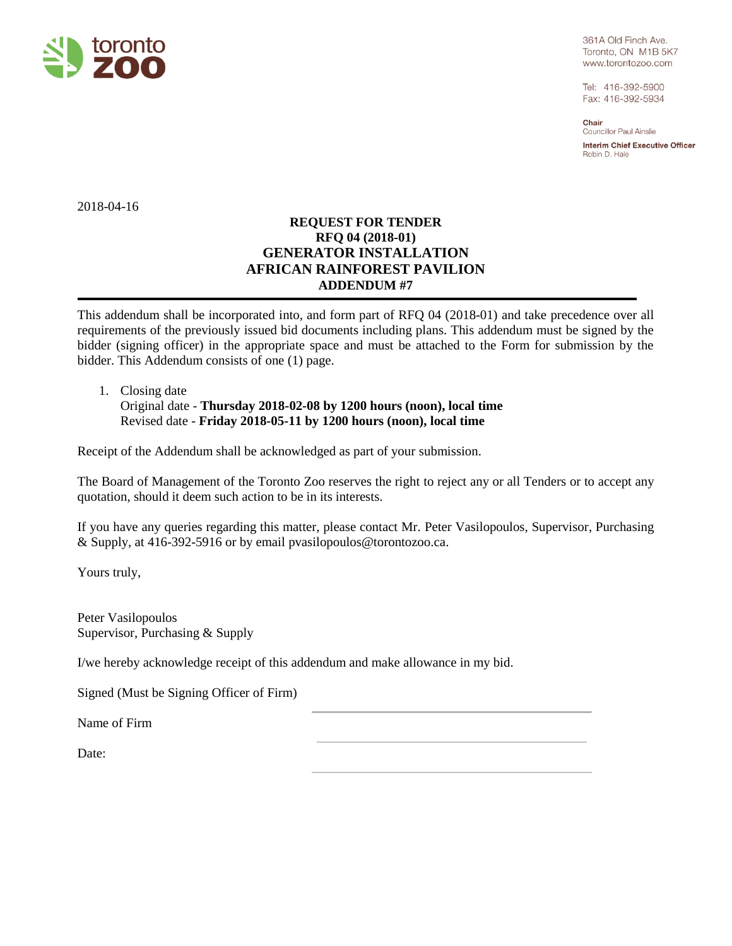

361A Old Finch Ave. Toronto, ON M1B 5K7 www.torontozoo.com

Tel: 416-392-5900 Fax: 416-392-5934

Chair Councillor Paul Ainslie **Interim Chief Executive Officer** Robin D. Hale

2018-04-16

## **REQUEST FOR TENDER RFQ 04 (2018-01) GENERATOR INSTALLATION AFRICAN RAINFOREST PAVILION ADDENDUM #7**

This addendum shall be incorporated into, and form part of RFQ 04 (2018-01) and take precedence over all requirements of the previously issued bid documents including plans. This addendum must be signed by the bidder (signing officer) in the appropriate space and must be attached to the Form for submission by the bidder. This Addendum consists of one (1) page.

## 1. Closing date

Original date - **Thursday 2018-02-08 by 1200 hours (noon), local time** Revised date - **Friday 2018-05-11 by 1200 hours (noon), local time**

Receipt of the Addendum shall be acknowledged as part of your submission.

The Board of Management of the Toronto Zoo reserves the right to reject any or all Tenders or to accept any quotation, should it deem such action to be in its interests.

If you have any queries regarding this matter, please contact Mr. Peter Vasilopoulos, Supervisor, Purchasing & Supply, at 416-392-5916 or by email pvasilopoulos@torontozoo.ca.

Yours truly,

Peter Vasilopoulos Supervisor, Purchasing & Supply

I/we hereby acknowledge receipt of this addendum and make allowance in my bid.

Signed (Must be Signing Officer of Firm)

Name of Firm

Date: